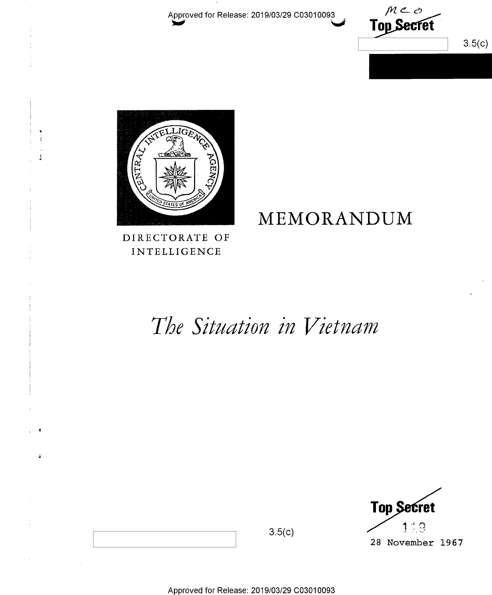Approved for Release: 2019/03/29 C03010093

 $mc<sub>o</sub>$ <br>Top Secret  $3.5(c)$ 



DIRECTORATE OF INTELLIGENCE

## MEMORANDUM

# The Situation in Vietnam

**Top Secret** 119 28 November 1967

 $3.5(c)$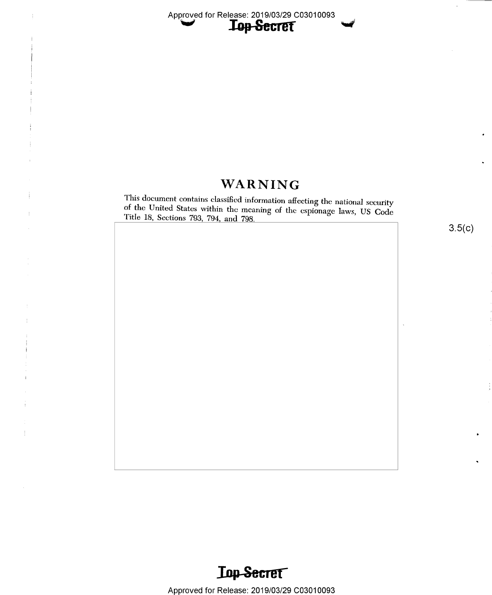$\textbf{WARMING}$  This document contains classified information affecting the national security of the United States within the meaning of the espionage laws, US Code Title 18, Sections 793, 794, and 798.

3.5(c)

9

 $\ddot{\phantom{0}}$ 



 $\frac{1}{2}$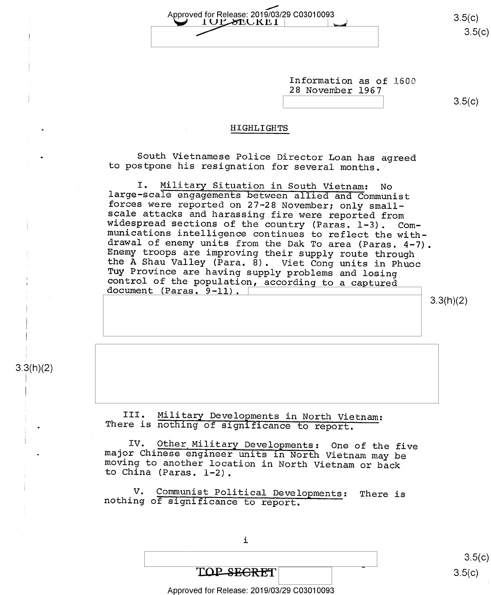Approved for Release: 2019/03/29 C03010093 <br>
<u>I UP SECKE, I</u><br>
3.5(C) g iu

Information as of l60O 28 November 1967

\ \ s.5(¢)

#### HIGHLIGHTS

South Vietnamese Police Director Loan has agreed to postpone his resignation for several months.

I. Military Situation in South Vietnam: No<br>large-scale engagements between allied and Communist<br>forces were reported on 27-28 November; only small-<br>scale attacks and harassing fire were reported from<br>widespread sections of

3.3(h)(2)

#### 3.3(h)(2)

s

,

III. Military Developments in North Vietnam: There is nothing of significance to report.

IV. Other Military Developments: One of the five major Chinese engineer units in North Vietnam may be moving to another location in North Vietnam or back to China (Paras. 1-2).

V. Communist Political Developments: There is nothing of significance to report.

i

|                                            | 3.5(c) |
|--------------------------------------------|--------|
| w<br>TOP SEGRET                            | 3.5(c) |
| Approved for Release: 2019/03/29 C03010093 |        |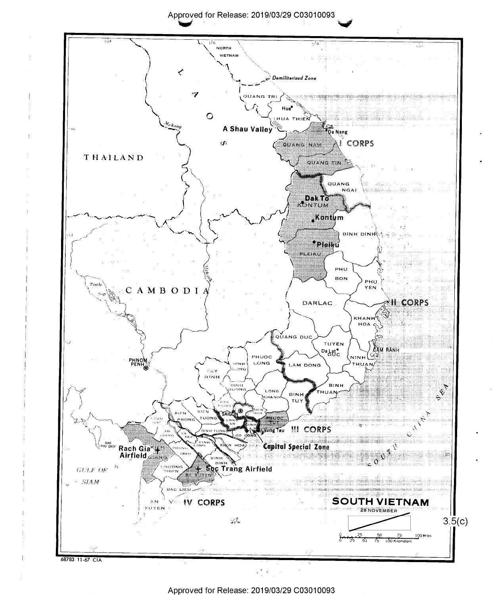Approved for Release: 2019/03/29 C03010093



Approved for Release: 2019/03/29 C03010093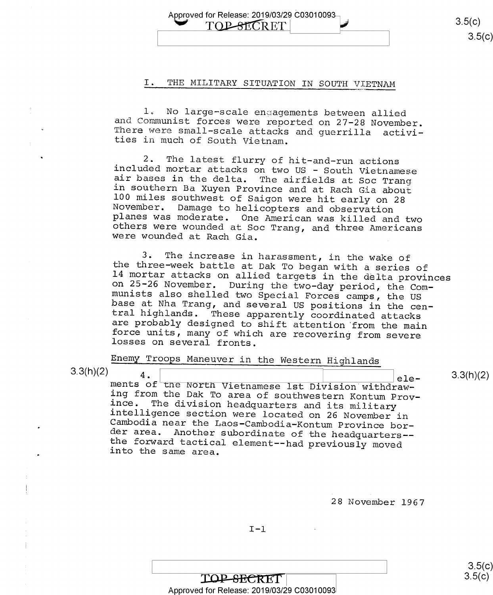Approved for Release: 2019/03/29 C03010093<br>  $\overline{\text{TOP-SECRET}}$  3.5(c)  $3.5(c)$ 

#### I. THE MILITARY SITUATION IN SOUTH YIETNAM

l. No large—scale engagements between allied and Communist forces were reported on 27-28 November. There were small—scale attacks and guerrilla activi- ties in much of South Vietnam.

2. The latest flurry of hit-and-run actions<br>included mortar attacks on two US - South Vietnamese<br>air bases in the delta. The airfields at Soc Trang<br>in southern Ba Xuyen Province and at Rach Gia about<br>100 miles southwest of

3. The increase in harassment, in the wake of<br>the three-week battle at Dak To began with a series of<br>14 mortar attacks on allied targets in the delta provinces<br>on 25-26 November. During the two-day period, the Com-<br>munists

Enemy Troops Maneuver in the Western Highlands

3.3(h)(2)

4. 4. ele-<br>ments of the North Vietnamese 1st Division withdraw-<br>ing from the Dak To area of southwestern Kontum Prov-Film and the second control of the second control of the second control of the second control of the second control of the second control of the second control of the second control of the second control of the second cont ince. The division headquarters and its military<br>intelligence section were located on 26 November in<br>Cambodia near the Laos-Cambodia-Kontum Province bor-<br>der area. Another subordinate of the headquarters--<br>the forward tact  $_{\text{ele-}}$  3.3(h)(2)

28 November 1967

 $\frac{\rm S.5(G)}{G}$  $3.5(c)$ 

TOP-SECRET Approved for Release: 2019/03/29 C03010093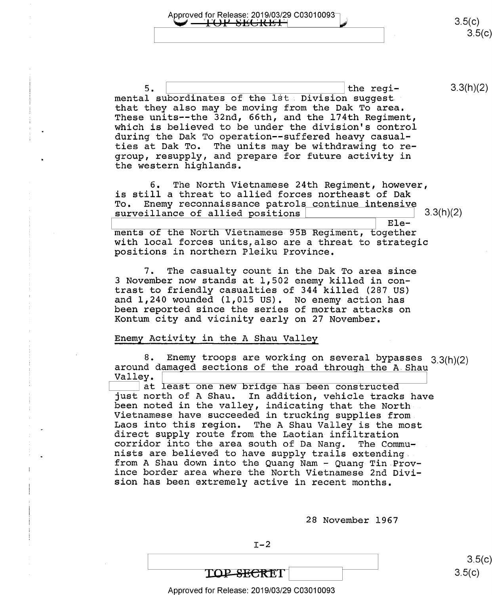Approved for Release: 2019/03/29 C03010093 u.html<br>  $\begin{array}{ccc} 3.5(c) \end{array}$  $3.5(c)$ 

5. \ \ the regi- 3.3(h)(2) mental subordinates of the 1st. Division suggest that they also may be moving from the Dak To area. These units-—the 32nd, 66th, and the 174th Regiment, which is believed to be under the division's control during the Dak To operation--suffered heavy casualties at Dak To. The units may be withdrawing to regroup, resupply, and prepare for future activity in the western highlands.

6. The North Vietnamese 24th Regiment, however, is still a threat to allied forces northeast of Dak To. Enemy reconnaissance patrols continue intensive<br>surveillance of allied positions<br>Ele- $3.3(h)(2)$ 

Ele- 'ments of the North Vietnamese 95B Regiment, together with local forces units,also are a threat to strategic positions in northern Pleiku Province.

7. The casualty count in the Dak To area since 3 November now stands at 1,502 enemy killed in contrast to friendly casualties of 344 killed (287 US)<br>and 1,240 wounded (1,015 US). No enemy action has been reported since the series of mortar attacks on Kontum city and vicinity early on 27 November.

#### Enemy Activity in the A Shau Valley

8. Enemy troops are working on several bypasses  $3.3(h)(2)$  around damaged sections of the road through the A Shau Valley.

at least one new bridge has been constructed just north of A Shau. In addition, vehicle tracks have<br>been noted in the valley, indicating that the North<br>Vietnamese have succeeded in trucking supplies from<br>Laos into this region. The A Shau Valley is the most<br>direct sup

28 November 1967

 $I-2$ 

 $3.5(c)$  $3.5(c)$ 

## TOP-SECRET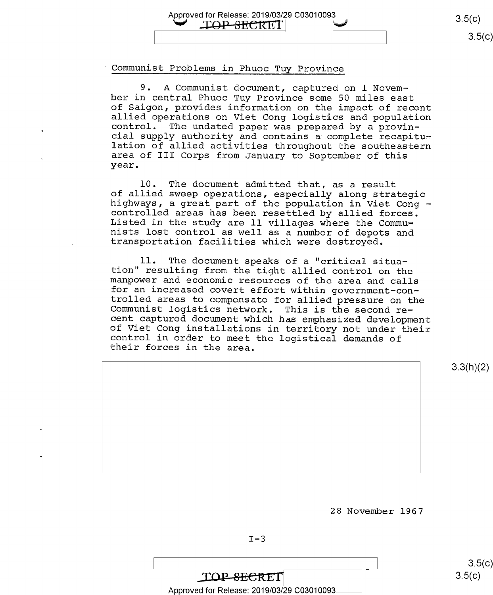$\mathcal{L}$  $3.5(c)$  $3.5(c)$ 

#### Communist Problems in Phuoc Tuy Province

Approved for Release: 2019/03/29 C03010093<br>
TOP SECRET

9. A Communist document, captured on l November in central Phuoc Tuy Province some 50 miles east<br>of Saigon, provides information on the impact of recent allied operations on Viet Cong logistics and population<br>control. The undated paper was prepared by a provin-<br>cial supply authority and contains a complete recapitulation of allied activities throughout the southeastern<br>area of III Corps from January to September of this year.

l0. The document admitted that, as a result of allied sweep operations, especially along strategic highways, a great part of the population in Viet Cong — Listed in the study are ll villages where the Commu-<br>nists lost control as well as a number of depots and<br>transportation facilities which were destroyed.

11. The document speaks of a "critical situa-<br>tion" resulting from the tight allied control on the<br>manpower and economic resources of the area and calls<br>for an increased covert effort within government-con-<br>trolled areas t

3.3(h)(2)

28 November 1967

TOP-SECRET Approved for Release: 2019/03/29 C03010093

 $3.5(c)$  $3.5(c)$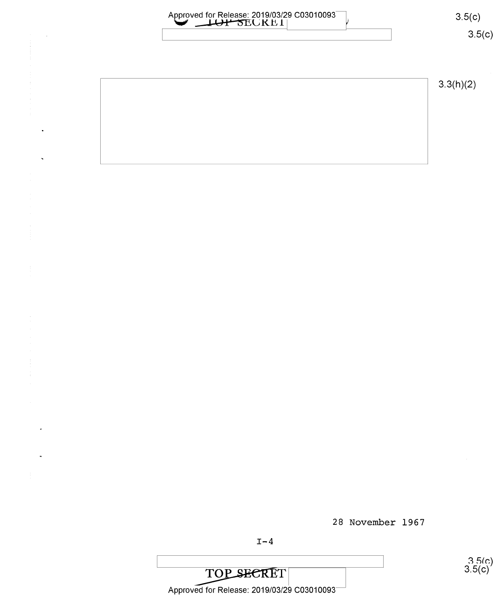| Approved for Release: 2019/03/29 C03010093 | 3.5(c)    |  |
|--------------------------------------------|-----------|--|
|                                            | 3.5(c)    |  |
|                                            |           |  |
|                                            | 3.3(h)(2) |  |
|                                            |           |  |
|                                            |           |  |
|                                            |           |  |
|                                            |           |  |
|                                            |           |  |
|                                            |           |  |
|                                            |           |  |
|                                            |           |  |
|                                            |           |  |
|                                            |           |  |
|                                            |           |  |
|                                            |           |  |
|                                            |           |  |
|                                            |           |  |
|                                            |           |  |
|                                            |           |  |
| 28 November 1967                           |           |  |

 $\ddot{\phantom{0}}$ 

 $3.5(c)$ <br> $3.5(c)$ 

TOP SECRET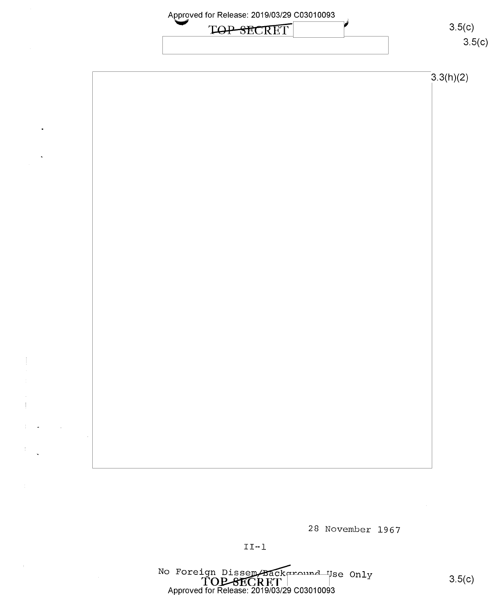

28 November 1967

No Foreign Dissem/Background Use Only<br>
TOP SECRET |<br>
Approved for Release: 2019/03/29 C03010093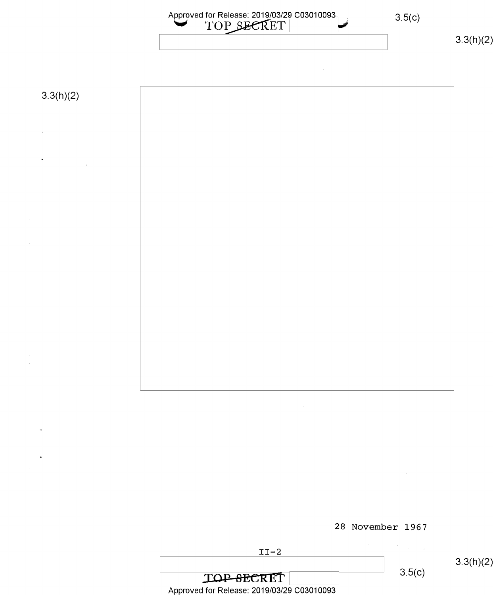

28 November 1967

 $II-2$ 

3.3(h)(2)

TOP-8ECRET 3.5(c) Approved for Release: 2019/03/29 C03010093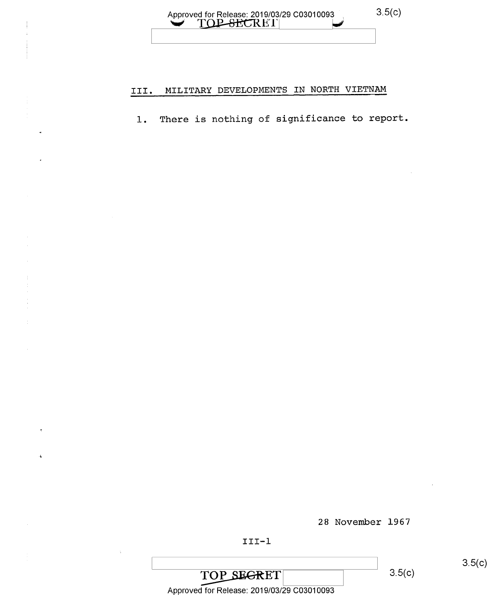#### Approved for Release: 2019/03/29 C03010093 <u>VIOPSECRET</u>

### III. MILITARY DEVELOPMENTS IN NORTH VIETNAM

l. There is nothing of significance to report.

28 November 1967

#### III-l

### TOP SEGRET

 $3.5(c)$ 

 $3.5(c)$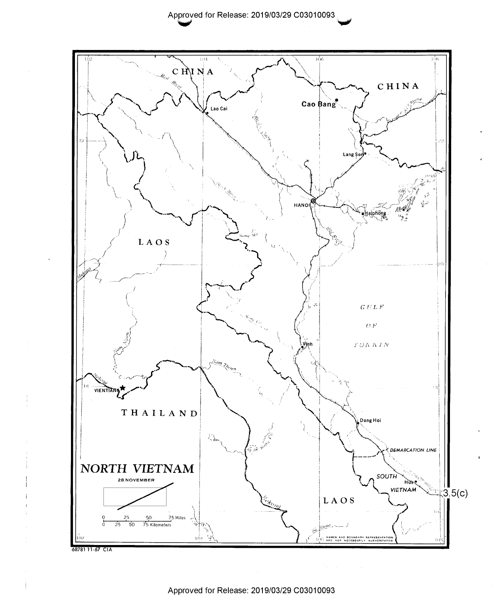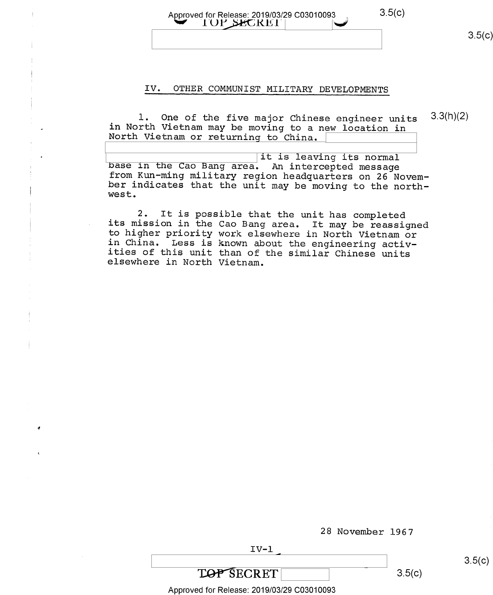$3.5(c)$ 

#### Approved for Release: 2019/03/29 C03010093 TOP SECRET

 $3.5(c)$ 

#### IV. OTHER COMMUNIST MILITARY DEVELOPMENTS

 $3.3(h)(2)$ 1. One of the five major Chinese engineer units in North Vietnam may be moving to a new location in North Vietnam or returning to China.

it is leaving its normal base in the Cao Bang area. An intercepted message from Kun-ming military region headquarters on 26 November indicates that the unit may be moving to the northwest.

It is possible that the unit has completed  $2.$ its mission in the Cao Bang area. It may be reassigned<br>to higher priority work elsewhere in North Vietnam or in China. Less is known about the engineering activities of this unit than of the similar Chinese units elsewhere in North Vietnam.

 $IV-1$ 

28 November 1967

 $3.5(c)$ 

Approved for Release: 2019/03/29 C03010093

**TOP SECRET** 

 $3.5(c)$